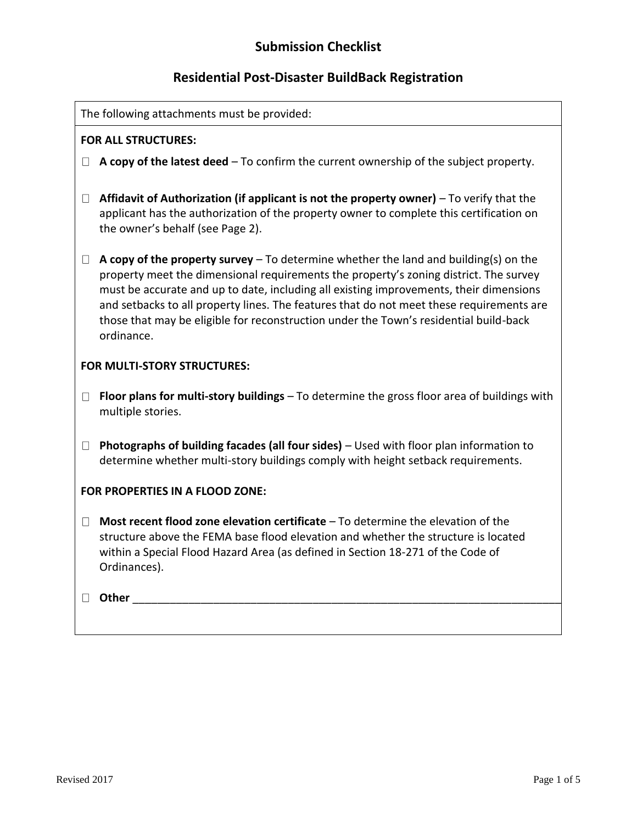## **Submission Checklist**

# **Residential Post-Disaster BuildBack Registration**

| The following attachments must be provided: |                                                                                                                                                                                                                                                                                                                                                                                                                                                                              |  |  |  |
|---------------------------------------------|------------------------------------------------------------------------------------------------------------------------------------------------------------------------------------------------------------------------------------------------------------------------------------------------------------------------------------------------------------------------------------------------------------------------------------------------------------------------------|--|--|--|
| <b>FOR ALL STRUCTURES:</b>                  |                                                                                                                                                                                                                                                                                                                                                                                                                                                                              |  |  |  |
| $\perp$                                     | A copy of the latest deed – To confirm the current ownership of the subject property.                                                                                                                                                                                                                                                                                                                                                                                        |  |  |  |
| $\Box$                                      | Affidavit of Authorization (if applicant is not the property owner) - To verify that the<br>applicant has the authorization of the property owner to complete this certification on<br>the owner's behalf (see Page 2).                                                                                                                                                                                                                                                      |  |  |  |
| $\Box$                                      | A copy of the property survey $-$ To determine whether the land and building(s) on the<br>property meet the dimensional requirements the property's zoning district. The survey<br>must be accurate and up to date, including all existing improvements, their dimensions<br>and setbacks to all property lines. The features that do not meet these requirements are<br>those that may be eligible for reconstruction under the Town's residential build-back<br>ordinance. |  |  |  |
| FOR MULTI-STORY STRUCTURES:                 |                                                                                                                                                                                                                                                                                                                                                                                                                                                                              |  |  |  |
| $\Box$                                      | Floor plans for multi-story buildings - To determine the gross floor area of buildings with<br>multiple stories.                                                                                                                                                                                                                                                                                                                                                             |  |  |  |
| $\Box$                                      | Photographs of building facades (all four sides) - Used with floor plan information to<br>determine whether multi-story buildings comply with height setback requirements.                                                                                                                                                                                                                                                                                                   |  |  |  |
| FOR PROPERTIES IN A FLOOD ZONE:             |                                                                                                                                                                                                                                                                                                                                                                                                                                                                              |  |  |  |
| $\Box$                                      | Most recent flood zone elevation certificate - To determine the elevation of the<br>structure above the FEMA base flood elevation and whether the structure is located<br>within a Special Flood Hazard Area (as defined in Section 18-271 of the Code of<br>Ordinances).                                                                                                                                                                                                    |  |  |  |
| $\perp$                                     | <b>Other</b>                                                                                                                                                                                                                                                                                                                                                                                                                                                                 |  |  |  |
|                                             |                                                                                                                                                                                                                                                                                                                                                                                                                                                                              |  |  |  |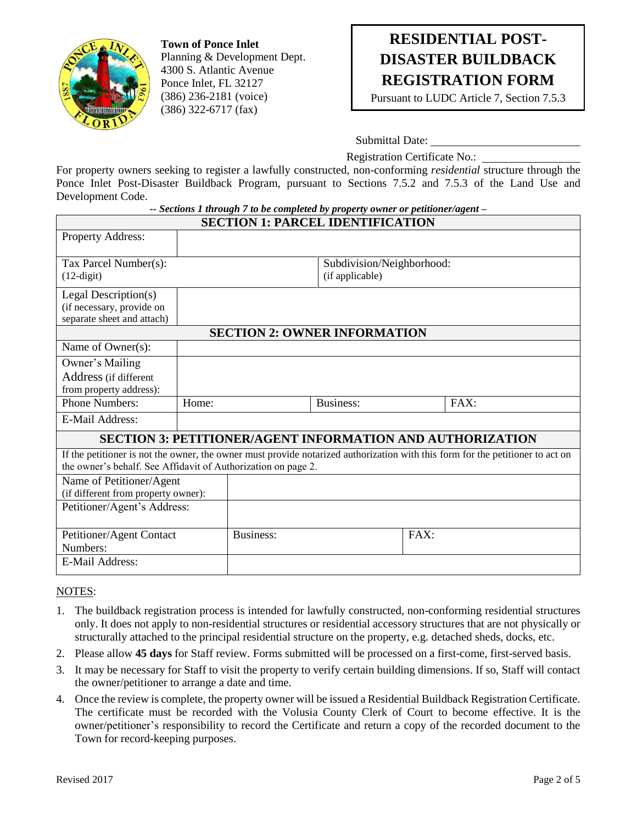

**Town of Ponce Inlet** Planning & Development Dept. 4300 S. Atlantic Avenue Ponce Inlet, FL 32127 (386) 236-2181 (voice) (386) 322-6717 (fax)

# **RESIDENTIAL POST-DISASTER BUILDBACK REGISTRATION FORM**

Pursuant to LUDC Article 7, Section 7.5.3

Submittal Date:

Registration Certificate No.:

For property owners seeking to register a lawfully constructed, non-conforming *residential* structure through the Ponce Inlet Post-Disaster Buildback Program, pursuant to Sections 7.5.2 and 7.5.3 of the Land Use and Development Code.

| -- Sections 1 through 7 to be completed by property owner or petitioner/agent – |  |
|---------------------------------------------------------------------------------|--|
|---------------------------------------------------------------------------------|--|

| <b>SECTION 1: PARCEL IDENTIFICATION</b>                                                                                        |  |                           |                  |      |      |  |
|--------------------------------------------------------------------------------------------------------------------------------|--|---------------------------|------------------|------|------|--|
| Property Address:                                                                                                              |  |                           |                  |      |      |  |
| Tax Parcel Number(s):                                                                                                          |  | Subdivision/Neighborhood: |                  |      |      |  |
| $(12$ -digit $)$                                                                                                               |  |                           | (if applicable)  |      |      |  |
| Legal Description(s)                                                                                                           |  |                           |                  |      |      |  |
| (if necessary, provide on                                                                                                      |  |                           |                  |      |      |  |
| separate sheet and attach)                                                                                                     |  |                           |                  |      |      |  |
| <b>SECTION 2: OWNER INFORMATION</b>                                                                                            |  |                           |                  |      |      |  |
| Name of Owner(s):                                                                                                              |  |                           |                  |      |      |  |
| Owner's Mailing                                                                                                                |  |                           |                  |      |      |  |
| Address (if different                                                                                                          |  |                           |                  |      |      |  |
| from property address):                                                                                                        |  |                           |                  |      |      |  |
| <b>Phone Numbers:</b><br>Home:                                                                                                 |  |                           | <b>Business:</b> |      | FAX: |  |
| E-Mail Address:                                                                                                                |  |                           |                  |      |      |  |
| <b>SECTION 3: PETITIONER/AGENT INFORMATION AND AUTHORIZATION</b>                                                               |  |                           |                  |      |      |  |
| If the petitioner is not the owner, the owner must provide notarized authorization with this form for the petitioner to act on |  |                           |                  |      |      |  |
| the owner's behalf. See Affidavit of Authorization on page 2.                                                                  |  |                           |                  |      |      |  |
| Name of Petitioner/Agent                                                                                                       |  |                           |                  |      |      |  |
| (if different from property owner):                                                                                            |  |                           |                  |      |      |  |
| Petitioner/Agent's Address:                                                                                                    |  |                           |                  |      |      |  |
|                                                                                                                                |  |                           |                  |      |      |  |
| Petitioner/Agent Contact                                                                                                       |  | <b>Business:</b>          |                  | FAX: |      |  |
| Numbers:                                                                                                                       |  |                           |                  |      |      |  |
| E-Mail Address:                                                                                                                |  |                           |                  |      |      |  |

#### NOTES:

- 1. The buildback registration process is intended for lawfully constructed, non-conforming residential structures only. It does not apply to non-residential structures or residential accessory structures that are not physically or structurally attached to the principal residential structure on the property, e.g. detached sheds, docks, etc.
- 2. Please allow **45 days** for Staff review. Forms submitted will be processed on a first-come, first-served basis.
- 3. It may be necessary for Staff to visit the property to verify certain building dimensions. If so, Staff will contact the owner/petitioner to arrange a date and time.
- 4. Once the review is complete, the property owner will be issued a Residential Buildback Registration Certificate. The certificate must be recorded with the Volusia County Clerk of Court to become effective. It is the owner/petitioner's responsibility to record the Certificate and return a copy of the recorded document to the Town for record-keeping purposes.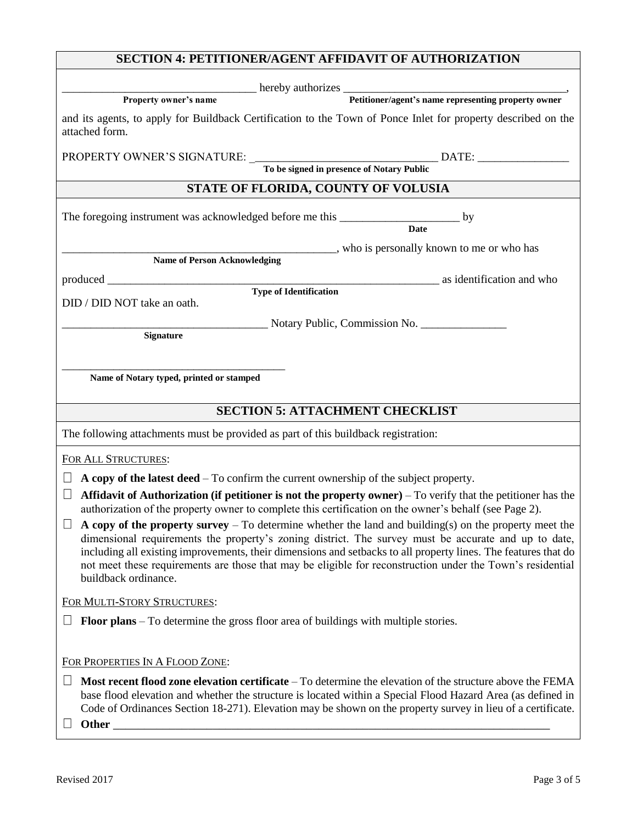| <b>SECTION 4: PETITIONER/AGENT AFFIDAVIT OF AUTHORIZATION</b>                                                                                                                                                                                                                                                                                                                                                                                                            |                                          |  |  |  |  |
|--------------------------------------------------------------------------------------------------------------------------------------------------------------------------------------------------------------------------------------------------------------------------------------------------------------------------------------------------------------------------------------------------------------------------------------------------------------------------|------------------------------------------|--|--|--|--|
|                                                                                                                                                                                                                                                                                                                                                                                                                                                                          |                                          |  |  |  |  |
| Property owner's name<br>Petitioner/agent's name representing property owner<br>Petitioner/agent's name representing property owner                                                                                                                                                                                                                                                                                                                                      |                                          |  |  |  |  |
| and its agents, to apply for Buildback Certification to the Town of Ponce Inlet for property described on the<br>attached form.                                                                                                                                                                                                                                                                                                                                          |                                          |  |  |  |  |
|                                                                                                                                                                                                                                                                                                                                                                                                                                                                          |                                          |  |  |  |  |
| STATE OF FLORIDA, COUNTY OF VOLUSIA                                                                                                                                                                                                                                                                                                                                                                                                                                      |                                          |  |  |  |  |
|                                                                                                                                                                                                                                                                                                                                                                                                                                                                          |                                          |  |  |  |  |
| The foregoing instrument was acknowledged before me this _________________________ by                                                                                                                                                                                                                                                                                                                                                                                    | <b>Date</b>                              |  |  |  |  |
|                                                                                                                                                                                                                                                                                                                                                                                                                                                                          | who is personally known to me or who has |  |  |  |  |
| Name of Person Acknowledging                                                                                                                                                                                                                                                                                                                                                                                                                                             |                                          |  |  |  |  |
|                                                                                                                                                                                                                                                                                                                                                                                                                                                                          |                                          |  |  |  |  |
| <b>Type of Identification</b><br>DID / DID NOT take an oath.                                                                                                                                                                                                                                                                                                                                                                                                             |                                          |  |  |  |  |
| Notary Public, Commission No.                                                                                                                                                                                                                                                                                                                                                                                                                                            |                                          |  |  |  |  |
| Signature                                                                                                                                                                                                                                                                                                                                                                                                                                                                |                                          |  |  |  |  |
|                                                                                                                                                                                                                                                                                                                                                                                                                                                                          |                                          |  |  |  |  |
| Name of Notary typed, printed or stamped                                                                                                                                                                                                                                                                                                                                                                                                                                 |                                          |  |  |  |  |
|                                                                                                                                                                                                                                                                                                                                                                                                                                                                          |                                          |  |  |  |  |
| <b>SECTION 5: ATTACHMENT CHECKLIST</b>                                                                                                                                                                                                                                                                                                                                                                                                                                   |                                          |  |  |  |  |
| The following attachments must be provided as part of this buildback registration:                                                                                                                                                                                                                                                                                                                                                                                       |                                          |  |  |  |  |
| FOR ALL STRUCTURES:                                                                                                                                                                                                                                                                                                                                                                                                                                                      |                                          |  |  |  |  |
| A copy of the latest deed – To confirm the current ownership of the subject property.                                                                                                                                                                                                                                                                                                                                                                                    |                                          |  |  |  |  |
| Affidavit of Authorization (if petitioner is not the property owner) $-$ To verify that the petitioner has the<br>⊔                                                                                                                                                                                                                                                                                                                                                      |                                          |  |  |  |  |
| authorization of the property owner to complete this certification on the owner's behalf (see Page 2).                                                                                                                                                                                                                                                                                                                                                                   |                                          |  |  |  |  |
| A copy of the property survey $-$ To determine whether the land and building(s) on the property meet the<br>dimensional requirements the property's zoning district. The survey must be accurate and up to date,<br>including all existing improvements, their dimensions and setbacks to all property lines. The features that do<br>not meet these requirements are those that may be eligible for reconstruction under the Town's residential<br>buildback ordinance. |                                          |  |  |  |  |
| FOR MULTI-STORY STRUCTURES:                                                                                                                                                                                                                                                                                                                                                                                                                                              |                                          |  |  |  |  |
| <b>Floor plans</b> – To determine the gross floor area of buildings with multiple stories.                                                                                                                                                                                                                                                                                                                                                                               |                                          |  |  |  |  |
|                                                                                                                                                                                                                                                                                                                                                                                                                                                                          |                                          |  |  |  |  |
| FOR PROPERTIES IN A FLOOD ZONE:                                                                                                                                                                                                                                                                                                                                                                                                                                          |                                          |  |  |  |  |
| Most recent flood zone elevation certificate – To determine the elevation of the structure above the FEMA<br>base flood elevation and whether the structure is located within a Special Flood Hazard Area (as defined in<br>Code of Ordinances Section 18-271). Elevation may be shown on the property survey in lieu of a certificate.<br>Other _                                                                                                                       |                                          |  |  |  |  |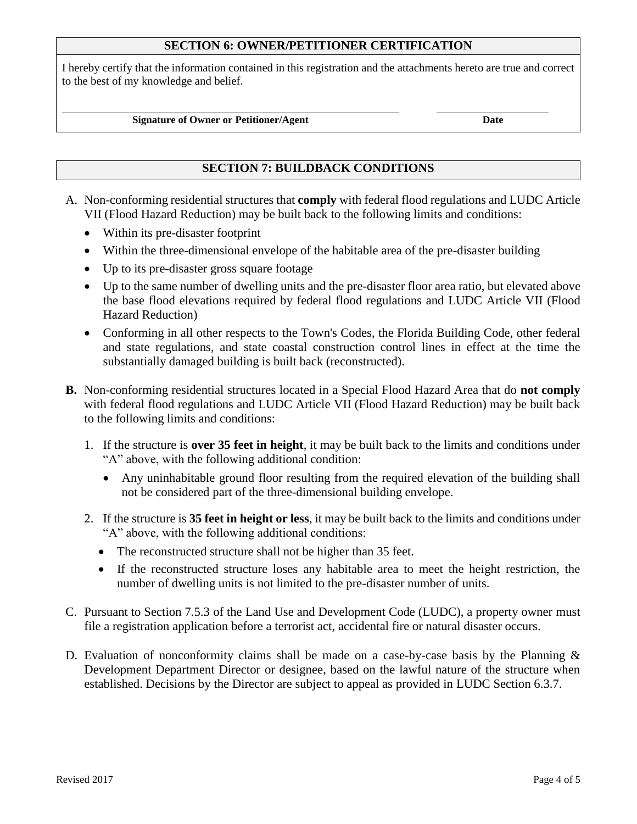### **SECTION 6: OWNER/PETITIONER CERTIFICATION**

I hereby certify that the information contained in this registration and the attachments hereto are true and correct to the best of my knowledge and belief.

#### **Signature of Owner or Petitioner/Agent Date**

### **SECTION 7: BUILDBACK CONDITIONS**

- A. Non-conforming residential structures that **comply** with federal flood regulations and LUDC Article VII (Flood Hazard Reduction) may be built back to the following limits and conditions:
	- Within its pre-disaster footprint
	- Within the three-dimensional envelope of the habitable area of the pre-disaster building
	- Up to its pre-disaster gross square footage
	- Up to the same number of dwelling units and the pre-disaster floor area ratio, but elevated above the base flood elevations required by federal flood regulations and LUDC Article VII (Flood Hazard Reduction)
	- Conforming in all other respects to the Town's Codes, the Florida Building Code, other federal and state regulations, and state coastal construction control lines in effect at the time the substantially damaged building is built back (reconstructed).
- **B.** Non-conforming residential structures located in a Special Flood Hazard Area that do **not comply** with federal flood regulations and LUDC Article VII (Flood Hazard Reduction) may be built back to the following limits and conditions:
	- 1. If the structure is **over 35 feet in height**, it may be built back to the limits and conditions under "A" above, with the following additional condition:
		- Any uninhabitable ground floor resulting from the required elevation of the building shall not be considered part of the three-dimensional building envelope.
	- 2. If the structure is **35 feet in height or less**, it may be built back to the limits and conditions under "A" above, with the following additional conditions:
		- The reconstructed structure shall not be higher than 35 feet.
		- If the reconstructed structure loses any habitable area to meet the height restriction, the number of dwelling units is not limited to the pre-disaster number of units.
- C. Pursuant to Section 7.5.3 of the Land Use and Development Code (LUDC), a property owner must file a registration application before a terrorist act, accidental fire or natural disaster occurs.
- D. Evaluation of nonconformity claims shall be made on a case-by-case basis by the Planning  $\&$ Development Department Director or designee, based on the lawful nature of the structure when established. Decisions by the Director are subject to appeal as provided in LUDC Section 6.3.7.